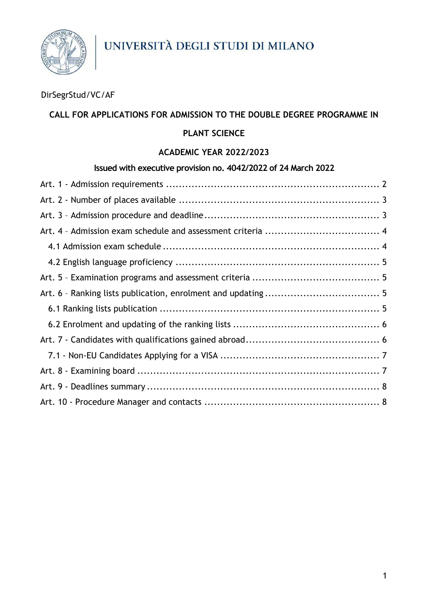

## DirSegrStud/VC/AF

### **CALL FOR APPLICATIONS FOR ADMISSION TO THE DOUBLE DEGREE PROGRAMME IN**

#### **PLANT SCIENCE**

#### **ACADEMIC YEAR 2022/2023**

#### **Issued with executive provision no. 4042/2022 of 24 March 2022**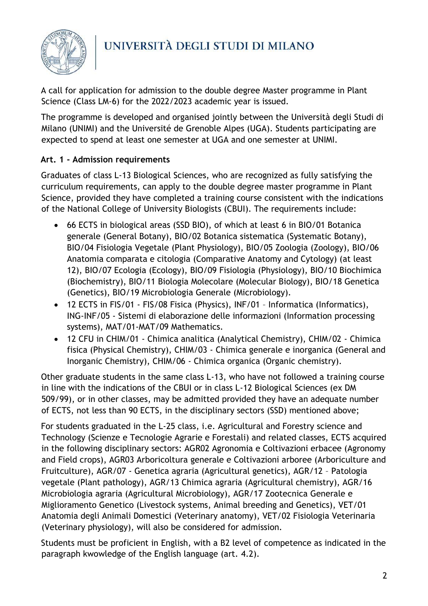

A call for application for admission to the double degree Master programme in Plant Science (Class LM-6) for the 2022/2023 academic year is issued.

The programme is developed and organised jointly between the Università degli Studi di Milano (UNIMI) and the Université de Grenoble Alpes (UGA). Students participating are expected to spend at least one semester at UGA and one semester at UNIMI.

## <span id="page-1-0"></span>**Art. 1 - Admission requirements**

Graduates of class L-13 Biological Sciences, who are recognized as fully satisfying the curriculum requirements, can apply to the double degree master programme in Plant Science, provided they have completed a training course consistent with the indications of the National College of University Biologists (CBUI). The requirements include:

- 66 ECTS in biological areas (SSD BIO), of which at least 6 in BIO/01 Botanica generale (General Botany), BIO/02 Botanica sistematica (Systematic Botany), BIO/04 Fisiologia Vegetale (Plant Physiology), BIO/05 Zoologia (Zoology), BIO/06 Anatomia comparata e citologia (Comparative Anatomy and Cytology) (at least 12), BIO/07 Ecologia (Ecology), BIO/09 Fisiologia (Physiology), BIO/10 Biochimica (Biochemistry), BIO/11 Biologia Molecolare (Molecular Biology), BIO/18 Genetica (Genetics), BIO/19 Microbiologia Generale (Microbiology).
- 12 ECTS in FIS/01 FIS/08 Fisica (Physics), INF/01 Informatica (Informatics), ING-INF/05 - Sistemi di elaborazione delle informazioni (Information processing systems), MAT/01-MAT/09 Mathematics.
- 12 CFU in CHIM/01 Chimica analitica (Analytical Chemistry), CHIM/02 Chimica fisica (Physical Chemistry), CHIM/03 - Chimica generale e inorganica (General and Inorganic Chemistry), CHIM/06 - Chimica organica (Organic chemistry).

Other graduate students in the same class L-13, who have not followed a training course in line with the indications of the CBUI or in class L-12 Biological Sciences (ex DM 509/99), or in other classes, may be admitted provided they have an adequate number of ECTS, not less than 90 ECTS, in the disciplinary sectors (SSD) mentioned above;

For students graduated in the L-25 class, i.e. Agricultural and Forestry science and Technology (Scienze e Tecnologie Agrarie e Forestali) and related classes, ECTS acquired in the following disciplinary sectors: AGR02 Agronomia e Coltivazioni erbacee (Agronomy and Field crops), AGR03 Arboricoltura generale e Coltivazioni arboree (Arboriculture and Fruitculture), AGR/07 - Genetica agraria (Agricultural genetics), AGR/12 – Patologia vegetale (Plant pathology), AGR/13 Chimica agraria (Agricultural chemistry), AGR/16 Microbiologia agraria (Agricultural Microbiology), AGR/17 Zootecnica Generale e Miglioramento Genetico (Livestock systems, Animal breeding and Genetics), VET/01 Anatomia degli Animali Domestici (Veterinary anatomy), VET/02 Fisiologia Veterinaria (Veterinary physiology), will also be considered for admission.

Students must be proficient in English, with a B2 level of competence as indicated in the paragraph kwowledge of the English language (art. 4.2).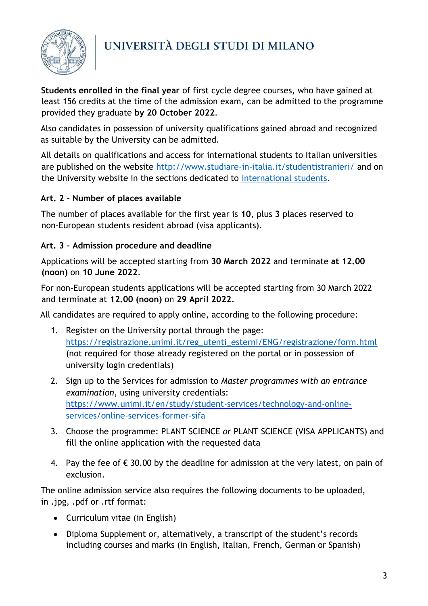

**Students enrolled in the final year** of first cycle degree courses, who have gained at least 156 credits at the time of the admission exam, can be admitted to the programme provided they graduate **by 20 October 2022**.

Also candidates in possession of university qualifications gained abroad and recognized as suitable by the University can be admitted.

All details on qualifications and access for international students to Italian universities are published on the website<http://www.studiare-in-italia.it/studentistranieri/> and on the University website in the sections dedicated to [international students.](https://www.unimi.it/en/international/coming-abroad/enrol-programme/international-enrolment-degree-programmes)

## <span id="page-2-0"></span>**Art. 2 - Number of places available**

The number of places available for the first year is **10**, plus **3** places reserved to non-European students resident abroad (visa applicants).

## <span id="page-2-1"></span>**Art. 3 – Admission procedure and deadline**

Applications will be accepted starting from **30 March 2022** and terminate **at 12.00 (noon)** on **10 June 2022**.

For non-European students applications will be accepted starting from 30 March 2022 and terminate at **12.00 (noon)** on **29 April 2022**.

All candidates are required to apply online, according to the following procedure:

- 1. Register on the University portal through the page: [https://registrazione.unimi.it/reg\\_utenti\\_esterni/ENG/registrazione/form.html](https://registrazione.unimi.it/reg_utenti_esterni/ENG/registrazione/form.html) (not required for those already registered on the portal or in possession of university login credentials)
- 2. Sign up to the Services for admission to *Master programmes with an entrance examination*, using university credentials: [https://www.unimi.it/en/study/student-services/technology-and-online](https://www.unimi.it/en/study/student-services/technology-and-online-services/online-services-former-sifa)[services/online-services-former-sifa](https://www.unimi.it/en/study/student-services/technology-and-online-services/online-services-former-sifa)
- 3. Choose the programme: PLANT SCIENCE *or* PLANT SCIENCE (VISA APPLICANTS) and fill the online application with the requested data
- 4. Pay the fee of  $\epsilon$  30.00 by the deadline for admission at the very latest, on pain of exclusion.

The online admission service also requires the following documents to be uploaded, in .jpg, .pdf or .rtf format:

- Curriculum vitae (in English)
- Diploma Supplement or, alternatively, a transcript of the student's records including courses and marks (in English, Italian, French, German or Spanish)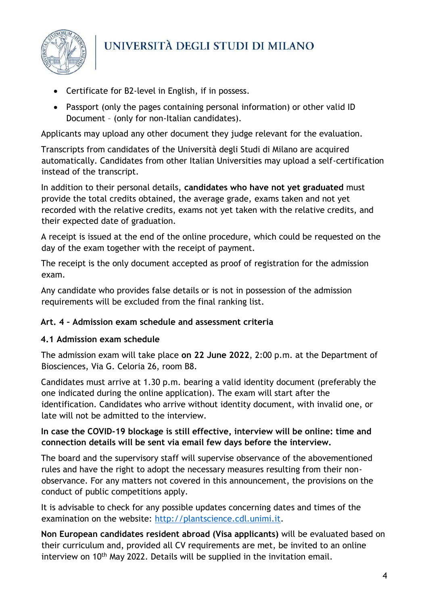

- Certificate for B2-level in English, if in possess.
- Passport (only the pages containing personal information) or other valid ID Document – (only for non-Italian candidates).

Applicants may upload any other document they judge relevant for the evaluation.

Transcripts from candidates of the Università degli Studi di Milano are acquired automatically. Candidates from other Italian Universities may upload a self-certification instead of the transcript.

In addition to their personal details, **candidates who have not yet graduated** must provide the total credits obtained, the average grade, exams taken and not yet recorded with the relative credits, exams not yet taken with the relative credits, and their expected date of graduation.

A receipt is issued at the end of the online procedure, which could be requested on the day of the exam together with the receipt of payment.

The receipt is the only document accepted as proof of registration for the admission exam.

Any candidate who provides false details or is not in possession of the admission requirements will be excluded from the final ranking list.

### <span id="page-3-0"></span>**Art. 4 – Admission exam schedule and assessment criteria**

### <span id="page-3-1"></span>**4.1 Admission exam schedule**

The admission exam will take place **on 22 June 2022**, 2:00 p.m. at the Department of Biosciences, Via G. Celoria 26, room B8.

Candidates must arrive at 1.30 p.m. bearing a valid identity document (preferably the one indicated during the online application). The exam will start after the identification. Candidates who arrive without identity document, with invalid one, or late will not be admitted to the interview.

### **In case the COVID-19 blockage is still effective, interview will be online: time and connection details will be sent via email few days before the interview.**

The board and the supervisory staff will supervise observance of the abovementioned rules and have the right to adopt the necessary measures resulting from their nonobservance. For any matters not covered in this announcement, the provisions on the conduct of public competitions apply.

It is advisable to check for any possible updates concerning dates and times of the examination on the website: [http://plantscience.cdl.unimi.it.](http://plantscience.cdl.unimi.it/)

**Non European candidates resident abroad (Visa applicants)** will be evaluated based on their curriculum and, provided all CV requirements are met, be invited to an online interview on 10<sup>th</sup> May 2022. Details will be supplied in the invitation email.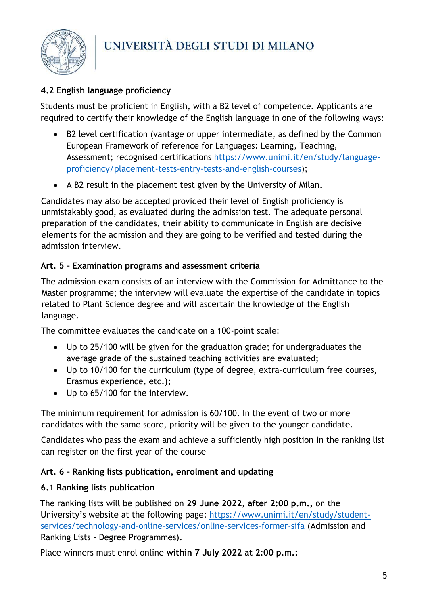

## <span id="page-4-0"></span>**4.2 English language proficiency**

Students must be proficient in English, with a B2 level of competence. Applicants are required to certify their knowledge of the English language in one of the following ways:

- B2 level certification (vantage or upper intermediate, as defined by the Common European Framework of reference for Languages: Learning, Teaching, Assessment; recognised certifications [https://www.unimi.it/en/study/language](https://www.unimi.it/en/study/language-proficiency/placement-tests-entry-tests-and-english-courses)[proficiency/placement-tests-entry-tests-and-english-courses\)](https://www.unimi.it/en/study/language-proficiency/placement-tests-entry-tests-and-english-courses);
- A B2 result in the placement test given by the University of Milan.

Candidates may also be accepted provided their level of English proficiency is unmistakably good, as evaluated during the admission test. The adequate personal preparation of the candidates, their ability to communicate in English are decisive elements for the admission and they are going to be verified and tested during the admission interview.

## <span id="page-4-1"></span>**Art. 5 – Examination programs and assessment criteria**

The admission exam consists of an interview with the Commission for Admittance to the Master programme; the interview will evaluate the expertise of the candidate in topics related to Plant Science degree and will ascertain the knowledge of the English language.

The committee evaluates the candidate on a 100-point scale:

- Up to 25/100 will be given for the graduation grade; for undergraduates the average grade of the sustained teaching activities are evaluated;
- Up to 10/100 for the curriculum (type of degree, extra-curriculum free courses, Erasmus experience, etc.);
- Up to 65/100 for the interview.

The minimum requirement for admission is 60/100. In the event of two or more candidates with the same score, priority will be given to the younger candidate.

Candidates who pass the exam and achieve a sufficiently high position in the ranking list can register on the first year of the course

## <span id="page-4-2"></span>**Art. 6 – Ranking lists publication, enrolment and updating**

## <span id="page-4-3"></span>**6.1 Ranking lists publication**

The ranking lists will be published on **29 June 2022, after 2:00 p.m.,** on the University's website at the following page: [https://www.unimi.it/en/study/student](https://www.unimi.it/en/study/student-services/technology-and-online-services/online-services-former-sifa)[services/technology-and-online-services/online-services-former-sifa](https://www.unimi.it/en/study/student-services/technology-and-online-services/online-services-former-sifa) [\(Admission and](http://www.unimi.it/hpsifa/nonProfiledPage_100.html)  Ranking Lists - [Degree Programmes\).](http://www.unimi.it/hpsifa/nonProfiledPage_100.html) 

Place winners must enrol online **within 7 July 2022 at 2:00 p.m.:**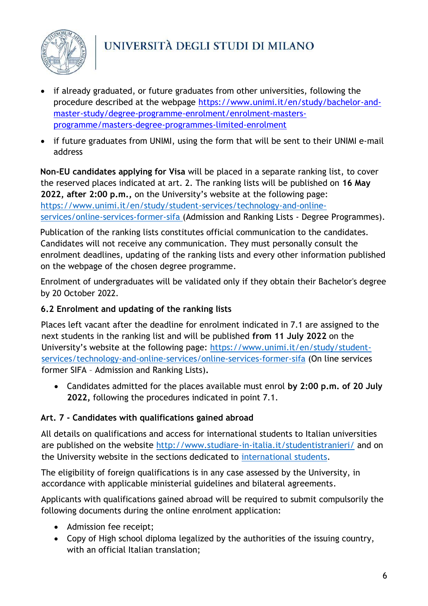

- if already graduated, or future graduates from other universities, following the procedure described at the webpage [https://www.unimi.it/en/study/bachelor-and](https://www.unimi.it/en/study/bachelor-and-master-study/degree-programme-enrolment/enrolment-masters-programme/masters-degree-programmes-limited-enrolment)[master-study/degree-programme-enrolment/enrolment-masters](https://www.unimi.it/en/study/bachelor-and-master-study/degree-programme-enrolment/enrolment-masters-programme/masters-degree-programmes-limited-enrolment)[programme/masters-degree-programmes-limited-enrolment](https://www.unimi.it/en/study/bachelor-and-master-study/degree-programme-enrolment/enrolment-masters-programme/masters-degree-programmes-limited-enrolment)
- if future graduates from UNIMI, using the form that will be sent to their UNIMI e-mail address

**Non-EU candidates applying for Visa** will be placed in a separate ranking list, to cover the reserved places indicated at art. 2. The ranking lists will be published on **16 May 2022, after 2:00 p.m.,** on the University's website at the following page: [https://www.unimi.it/en/study/student-services/technology-and-online](https://www.unimi.it/en/study/student-services/technology-and-online-services/online-services-former-sifa)[services/online-services-former-sifa](https://www.unimi.it/en/study/student-services/technology-and-online-services/online-services-former-sifa) [\(Admission and Ranking Lists -](http://www.unimi.it/hpsifa/nonProfiledPage_100.html) Degree Programmes).

Publication of the ranking lists constitutes official communication to the candidates. Candidates will not receive any communication. They must personally consult the enrolment deadlines, updating of the ranking lists and every other information published on the webpage of the chosen degree programme.

Enrolment of undergraduates will be validated only if they obtain their Bachelor's degree by 20 October 2022.

### <span id="page-5-0"></span>**6.2 Enrolment and updating of the ranking lists**

Places left vacant after the deadline for enrolment indicated in 7.1 are assigned to the next students in the ranking list and will be published **from 11 July 2022** on the University's website at the following page: [https://www.unimi.it/en/study/student](https://www.unimi.it/en/study/student-services/technology-and-online-services/online-services-former-sifa)[services/technology-and-online-services/online-services-former-sifa](https://www.unimi.it/en/study/student-services/technology-and-online-services/online-services-former-sifa) (On line services former SIFA – Admission and Ranking Lists)**.**

• Candidates admitted for the places available must enrol **by 2:00 p.m. of 20 July 2022,** following the procedures indicated in point 7.1.

## <span id="page-5-1"></span>**Art. 7 - Candidates with qualifications gained abroad**

All details on qualifications and access for international students to Italian universities are published on the website<http://www.studiare-in-italia.it/studentistranieri/> and on the University website in the sections dedicated to [international students.](https://www.unimi.it/en/international/coming-abroad/enrol-programme/international-enrolment-degree-programmes)

The eligibility of foreign qualifications is in any case assessed by the University, in accordance with applicable ministerial guidelines and bilateral agreements.

Applicants with qualifications gained abroad will be required to submit compulsorily the following documents during the online enrolment application:

- Admission fee receipt;
- Copy of High school diploma legalized by the authorities of the issuing country, with an official Italian translation;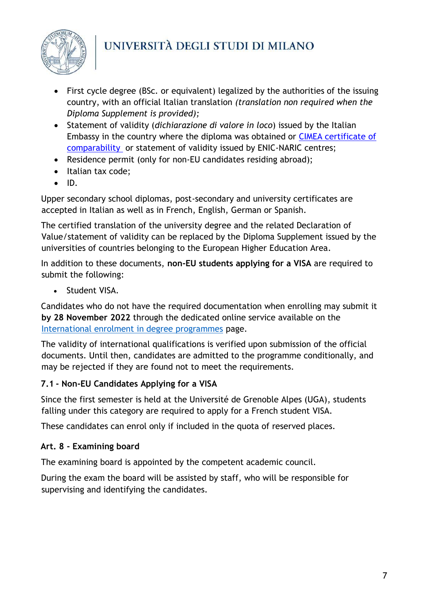

- First cycle degree (BSc. or equivalent) legalized by the authorities of the issuing country, with an official Italian translation *(translation non required when the Diploma Supplement is provided);*
- Statement of validity (*dichiarazione di valore in loco*) issued by the Italian Embassy in the country where the diploma was obtained or [CIMEA certificate of](http://www.cimea.it/it/servizi/attestati-di-comparabilita-e-certificazione-dei-titoli/attestati-di-comparabilita-e-di-verifica-dei-titoli-diplome.aspx)  [comparability o](http://www.cimea.it/it/servizi/attestati-di-comparabilita-e-certificazione-dei-titoli/attestati-di-comparabilita-e-di-verifica-dei-titoli-diplome.aspx)r statement of validity issued by ENIC-NARIC centres;
- Residence permit (only for non-EU candidates residing abroad);
- Italian tax code;
- ID.

Upper secondary school diplomas, post-secondary and university certificates are accepted in Italian as well as in French, English, German or Spanish.

The certified translation of the university degree and the related Declaration of Value/statement of validity can be replaced by the Diploma Supplement issued by the universities of countries belonging to the European Higher Education Area.

In addition to these documents, **non-EU students applying for a VISA** are required to submit the following:

• Student VISA.

Candidates who do not have the required documentation when enrolling may submit it **by 28 November 2022** through the dedicated online service available on the [International enrolment in degree programmes](https://www.unimi.it/it/node/1066) page.

The validity of international qualifications is verified upon submission of the official documents. Until then, candidates are admitted to the programme conditionally, and may be rejected if they are found not to meet the requirements.

## <span id="page-6-0"></span>**7.1 - Non-EU Candidates Applying for a VISA**

Since the first semester is held at the Université de Grenoble Alpes (UGA), students falling under this category are required to apply for a French student VISA.

These candidates can enrol only if included in the quota of reserved places.

## <span id="page-6-1"></span>**Art. 8 - Examining board**

The examining board is appointed by the competent academic council.

During the exam the board will be assisted by staff, who will be responsible for supervising and identifying the candidates.